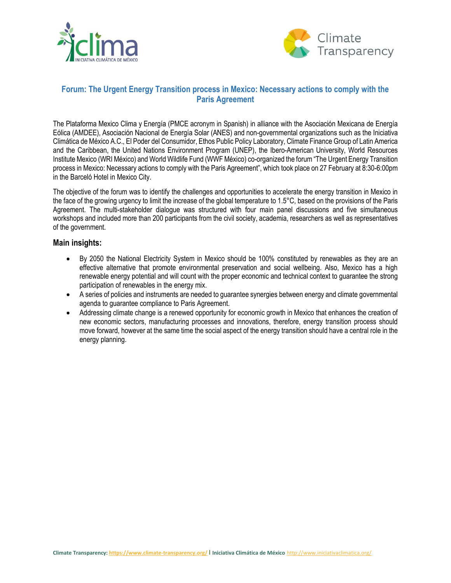



# **Forum: The Urgent Energy Transition process in Mexico: Necessary actions to comply with the Paris Agreement**

The Plataforma Mexico Clima y Energía (PMCE acronym in Spanish) in alliance with the Asociación Mexicana de Energía Eólica (AMDEE), Asociación Nacional de Energía Solar (ANES) and non-governmental organizations such as the Iniciativa Climática de México A.C., El Poder del Consumidor, Ethos Public Policy Laboratory, Climate Finance Group of Latin America and the Caribbean, the United Nations Environment Program (UNEP), the Ibero-American University, World Resources Institute Mexico (WRI México) and World Wildlife Fund (WWF México) co-organized the forum"The Urgent Energy Transition process in Mexico: Necessary actions to comply with the Paris Agreement", which took place on 27 February at 8:30-6:00pm in the Barceló Hotel in Mexico City.

The objective of the forum was to identify the challenges and opportunities to accelerate the energy transition in Mexico in the face of the growing urgency to limit the increase of the global temperature to 1.5°C, based on the provisions of the Paris Agreement. The multi-stakeholder dialogue was structured with four main panel discussions and five simultaneous workshops and included more than 200 participants from the civil society, academia, researchers as well as representatives of the government.

# **Main insights:**

- By 2050 the National Electricity System in Mexico should be 100% constituted by renewables as they are an effective alternative that promote environmental preservation and social wellbeing. Also, Mexico has a high renewable energy potential and will count with the proper economic and technical context to guarantee the strong participation of renewables in the energy mix.
- A series of policies and instruments are needed to guarantee synergies between energy and climate governmental agenda to guarantee compliance to Paris Agreement.
- Addressing climate change is a renewed opportunity for economic growth in Mexico that enhances the creation of new economic sectors, manufacturing processes and innovations, therefore, energy transition process should move forward, however at the same time the social aspect of the energy transition should have a central role in the energy planning.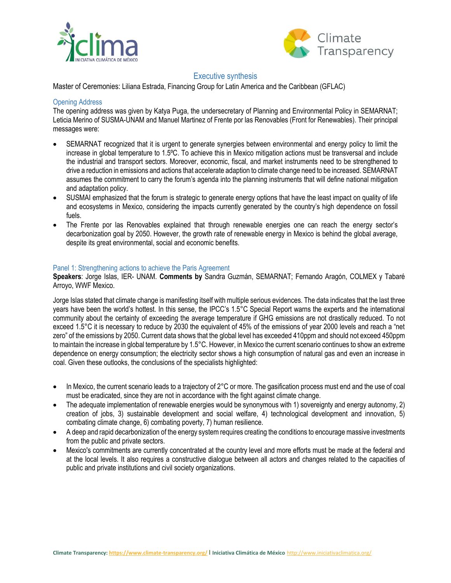



### Executive synthesis

Master of Ceremonies: Liliana Estrada, Financing Group for Latin America and the Caribbean (GFLAC)

#### Opening Address

The opening address was given by Katya Puga, the undersecretary of Planning and Environmental Policy in SEMARNAT; Leticia Merino of SUSMA-UNAM and Manuel Martinez of Frente por las Renovables (Front for Renewables). Their principal messages were:

- SEMARNAT recognized that it is urgent to generate synergies between environmental and energy policy to limit the increase in global temperature to 1.5ºC. To achieve this in Mexico mitigation actions must be transversal and include the industrial and transport sectors. Moreover, economic, fiscal, and market instruments need to be strengthened to drive a reduction in emissions and actions that accelerate adaption to climate change need to be increased. SEMARNAT assumes the commitment to carry the forum's agenda into the planning instruments that will define national mitigation and adaptation policy.
- SUSMAI emphasized that the forum is strategic to generate energy options that have the least impact on quality of life and ecosystems in Mexico, considering the impacts currently generated by the country's high dependence on fossil fuels.
- The Frente por las Renovables explained that through renewable energies one can reach the energy sector's decarbonization goal by 2050. However, the growth rate of renewable energy in Mexico is behind the global average, despite its great environmental, social and economic benefits.

#### Panel 1: Strengthening actions to achieve the Paris Agreement

**Speakers**: Jorge Islas, IER- UNAM. **Comments by** Sandra Guzmán, SEMARNAT; Fernando Aragón, COLMEX y Tabaré Arroyo, WWF Mexico.

Jorge Islas stated that climate change is manifesting itself with multiple serious evidences. The data indicates that the last three years have been the world's hottest. In this sense, the IPCC's 1.5°C Special Report warns the experts and the international community about the certainty of exceeding the average temperature if GHG emissions are not drastically reduced. To not exceed 1.5°C it is necessary to reduce by 2030 the equivalent of 45% of the emissions of year 2000 levels and reach a "net zero" of the emissions by 2050. Current data shows that the global level has exceeded 410ppm and should not exceed 450ppm to maintain the increase in global temperature by 1.5°C. However, in Mexico the current scenario continues to show an extreme dependence on energy consumption; the electricity sector shows a high consumption of natural gas and even an increase in coal. Given these outlooks, the conclusions of the specialists highlighted:

- In Mexico, the current scenario leads to a trajectory of 2°C or more. The gasification process must end and the use of coal must be eradicated, since they are not in accordance with the fight against climate change.
- The adequate implementation of renewable energies would be synonymous with 1) sovereignty and energy autonomy, 2) creation of jobs, 3) sustainable development and social welfare, 4) technological development and innovation, 5) combating climate change, 6) combating poverty, 7) human resilience.
- A deep and rapid decarbonization of the energy system requires creating the conditions to encourage massive investments from the public and private sectors.
- Mexico's commitments are currently concentrated at the country level and more efforts must be made at the federal and at the local levels. It also requires a constructive dialogue between all actors and changes related to the capacities of public and private institutions and civil society organizations.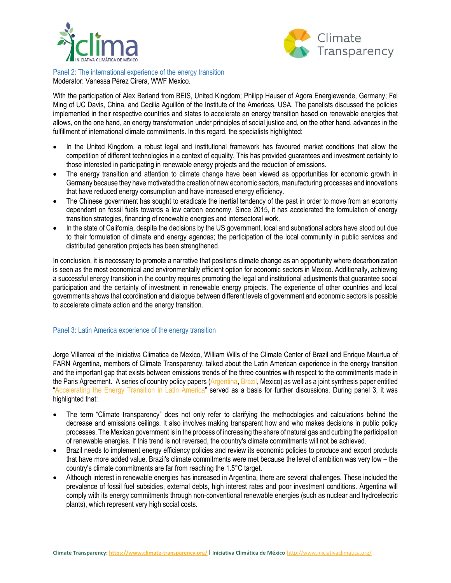



Panel 2: The international experience of the energy transition Moderator: Vanessa Pérez Cirera, WWF Mexico.

With the participation of Alex Berland from BEIS, United Kingdom; Philipp Hauser of Agora Energiewende, Germany; Fei Ming of UC Davis, China, and Cecilia Aguillón of the Institute of the Americas, USA. The panelists discussed the policies implemented in their respective countries and states to accelerate an energy transition based on renewable energies that allows, on the one hand, an energy transformation under principles of social justice and, on the other hand, advances in the fulfillment of international climate commitments. In this regard, the specialists highlighted:

- In the United Kingdom, a robust legal and institutional framework has favoured market conditions that allow the competition of different technologies in a context of equality. This has provided guarantees and investment certainty to those interested in participating in renewable energy projects and the reduction of emissions.
- The energy transition and attention to climate change have been viewed as opportunities for economic growth in Germany because they have motivated the creation of new economic sectors, manufacturing processes and innovations that have reduced energy consumption and have increased energy efficiency.
- The Chinese government has sought to eradicate the inertial tendency of the past in order to move from an economy dependent on fossil fuels towards a low carbon economy. Since 2015, it has accelerated the formulation of energy transition strategies, financing of renewable energies and intersectoral work.
- In the state of California, despite the decisions by the US government, local and subnational actors have stood out due to their formulation of climate and energy agendas; the participation of the local community in public services and distributed generation projects has been strengthened.

In conclusion, it is necessary to promote a narrative that positions climate change as an opportunity where decarbonization is seen as the most economical and environmentally efficient option for economic sectors in Mexico. Additionally, achieving a successful energy transition in the country requires promoting the legal and institutional adjustments that guarantee social participation and the certainty of investment in renewable energy projects. The experience of other countries and local governments shows that coordination and dialogue between different levels of government and economic sectors is possible to accelerate climate action and the energy transition.

# Panel 3: Latin America experience of the energy transition

Jorge Villarreal of the Iniciativa Climatica de Mexico, William Wills of the Climate Center of Brazil and Enrique Maurtua of FARN Argentina, members of Climate Transparency, talked about the Latin American experience in the energy transition and the important gap that exists between emissions trends of the three countries with respect to the commitments made in the Paris Agreement. A series of country policy papers [\(Argentina,](https://www.climate-transparency.org/wp-content/uploads/2019/01/Argentina-policy-paper.pdf) [Brazil,](https://www.climate-transparency.org/wp-content/uploads/2019/02/Brazil-Policy-Paper-Energy-Transition-FINAL.pdf) Mexico) as well as a joint synthesis paper entitled "[Accelerating the Energy Transition in Latin America](https://www.climate-transparency.org/wp-content/uploads/2019/02/Climate-Transparency_Energy-Transition-Arg-Braz-Mex-Feb_2019.pdf)" served as a basis for further discussions. During panel 3, it was highlighted that:

- The term "Climate transparency" does not only refer to clarifying the methodologies and calculations behind the decrease and emissions ceilings. It also involves making transparent how and who makes decisions in public policy processes. The Mexican government is in the process of increasing the share of natural gas and curbing the participation of renewable energies. If this trend is not reversed, the country's climate commitments will not be achieved.
- Brazil needs to implement energy efficiency policies and review its economic policies to produce and export products that have more added value. Brazil's climate commitments were met because the level of ambition was very low – the country's climate commitments are far from reaching the 1.5°C target.
- Although interest in renewable energies has increased in Argentina, there are several challenges. These included the prevalence of fossil fuel subsidies, external debts, high interest rates and poor investment conditions. Argentina will comply with its energy commitments through non-conventional renewable energies (such as nuclear and hydroelectric plants), which represent very high social costs.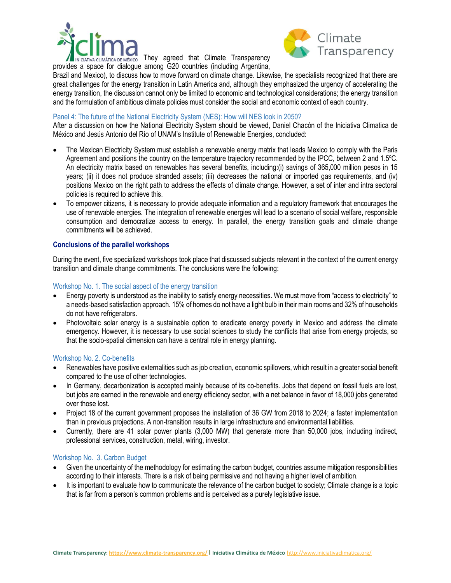

INICIATIVA CLIMÁTICA DE MÉXICO They agreed that Climate Transparency provides a space for dialogue among G20 countries (including Argentina,



Brazil and Mexico), to discuss how to move forward on climate change. Likewise, the specialists recognized that there are great challenges for the energy transition in Latin America and, although they emphasized the urgency of accelerating the energy transition, the discussion cannot only be limited to economic and technological considerations; the energy transition and the formulation of ambitious climate policies must consider the social and economic context of each country.

#### Panel 4: The future of the National Electricity System (NES): How will NES look in 2050?

After a discussion on how the National Electricity System should be viewed, Daniel Chacón of the Iniciativa Climatica de México and Jesús Antonio del Río of UNAM's Institute of Renewable Energies, concluded:

- The Mexican Electricity System must establish a renewable energy matrix that leads Mexico to comply with the Paris Agreement and positions the country on the temperature trajectory recommended by the IPCC, between 2 and 1.5ºC. An electricity matrix based on renewables has several benefits, including:(i) savings of 365,000 million pesos in 15 years; (ii) it does not produce stranded assets; (iii) decreases the national or imported gas requirements, and (iv) positions Mexico on the right path to address the effects of climate change. However, a set of inter and intra sectoral policies is required to achieve this.
- To empower citizens, it is necessary to provide adequate information and a regulatory framework that encourages the use of renewable energies. The integration of renewable energies will lead to a scenario of social welfare, responsible consumption and democratize access to energy. In parallel, the energy transition goals and climate change commitments will be achieved.

#### **Conclusions of the parallel workshops**

During the event, five specialized workshops took place that discussed subjects relevant in the context of the current energy transition and climate change commitments. The conclusions were the following:

### Workshop No. 1. The social aspect of the energy transition

- Energy poverty is understood as the inability to satisfy energy necessities. We must move from "access to electricity" to a needs-based satisfaction approach. 15% of homes do not have a light bulb in their main rooms and 32% of households do not have refrigerators.
- Photovoltaic solar energy is a sustainable option to eradicate energy poverty in Mexico and address the climate emergency. However, it is necessary to use social sciences to study the conflicts that arise from energy projects, so that the socio-spatial dimension can have a central role in energy planning.

#### Workshop No. 2. Co-benefits

- Renewables have positive externalities such as job creation, economic spillovers, which result in a greater social benefit compared to the use of other technologies.
- In Germany, decarbonization is accepted mainly because of its co-benefits. Jobs that depend on fossil fuels are lost, but jobs are earned in the renewable and energy efficiency sector, with a net balance in favor of 18,000 jobs generated over those lost.
- Project 18 of the current government proposes the installation of 36 GW from 2018 to 2024; a faster implementation than in previous projections. A non-transition results in large infrastructure and environmental liabilities.
- Currently, there are 41 solar power plants (3,000 MW) that generate more than 50,000 jobs, including indirect, professional services, construction, metal, wiring, investor.

#### Workshop No. 3. Carbon Budget

- Given the uncertainty of the methodology for estimating the carbon budget, countries assume mitigation responsibilities according to their interests. There is a risk of being permissive and not having a higher level of ambition.
- It is important to evaluate how to communicate the relevance of the carbon budget to society; Climate change is a topic that is far from a person's common problems and is perceived as a purely legislative issue.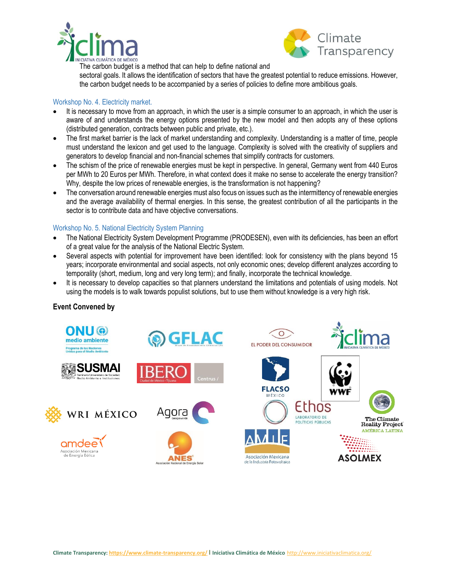



The carbon budget is a method that can help to define national and

sectoral goals. It allows the identification of sectors that have the greatest potential to reduce emissions. However, the carbon budget needs to be accompanied by a series of policies to define more ambitious goals.

### Workshop No. 4. Electricity market.

- It is necessary to move from an approach, in which the user is a simple consumer to an approach, in which the user is aware of and understands the energy options presented by the new model and then adopts any of these options (distributed generation, contracts between public and private, etc.).
- The first market barrier is the lack of market understanding and complexity. Understanding is a matter of time, people must understand the lexicon and get used to the language. Complexity is solved with the creativity of suppliers and generators to develop financial and non-financial schemes that simplify contracts for customers.
- The schism of the price of renewable energies must be kept in perspective. In general, Germany went from 440 Euros per MWh to 20 Euros per MWh. Therefore, in what context does it make no sense to accelerate the energy transition? Why, despite the low prices of renewable energies, is the transformation is not happening?
- The conversation around renewable energies must also focus on issues such as the intermittency of renewable energies and the average availability of thermal energies. In this sense, the greatest contribution of all the participants in the sector is to contribute data and have objective conversations.

# Workshop No. 5. National Electricity System Planning

- The National Electricity System Development Programme (PRODESEN), even with its deficiencies, has been an effort of a great value for the analysis of the National Electric System.
- Several aspects with potential for improvement have been identified: look for consistency with the plans beyond 15 years; incorporate environmental and social aspects, not only economic ones; develop different analyzes according to temporality (short, medium, long and very long term); and finally, incorporate the technical knowledge.
- It is necessary to develop capacities so that planners understand the limitations and potentials of using models. Not using the models is to walk towards populist solutions, but to use them without knowledge is a very high risk.

# **Event Convened by**